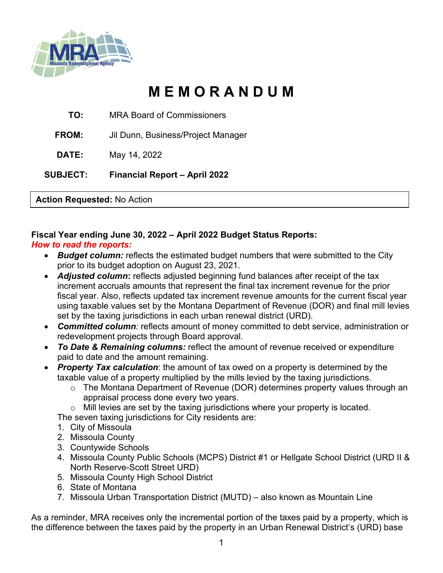

# **M E M O R A N D U M**

**TO:** MRA Board of Commissioners

**FROM:** Jil Dunn, Business/Project Manager

**DATE:** May 14, 2022

**SUBJECT: Financial Report – April 2022**

**Action Requested:** No Action

## **Fiscal Year ending June 30, 2022 – April 2022 Budget Status Reports:**

## *How to read the reports:*

- *Budget column:* reflects the estimated budget numbers that were submitted to the City prior to its budget adoption on August 23, 2021.
- *Adjusted column***:** reflects adjusted beginning fund balances after receipt of the tax increment accruals amounts that represent the final tax increment revenue for the prior fiscal year. Also, reflects updated tax increment revenue amounts for the current fiscal year using taxable values set by the Montana Department of Revenue (DOR) and final mill levies set by the taxing jurisdictions in each urban renewal district (URD).
- *Committed column:* reflects amount of money committed to debt service, administration or redevelopment projects through Board approval.
- *To Date & Remaining columns:* reflect the amount of revenue received or expenditure paid to date and the amount remaining.
- *Property Tax calculation*: the amount of tax owed on a property is determined by the taxable value of a property multiplied by the mills levied by the taxing jurisdictions.
	- o The Montana Department of Revenue (DOR) determines property values through an appraisal process done every two years.
	- o Mill levies are set by the taxing jurisdictions where your property is located.

The seven taxing jurisdictions for City residents are:

- 1. City of Missoula
- 2. Missoula County
- 3. Countywide Schools
- 4. Missoula County Public Schools (MCPS) District #1 or Hellgate School District (URD II & North Reserve-Scott Street URD)
- 5. Missoula County High School District
- 6. State of Montana
- 7. Missoula Urban Transportation District (MUTD) also known as Mountain Line

As a reminder, MRA receives only the incremental portion of the taxes paid by a property, which is the difference between the taxes paid by the property in an Urban Renewal District's (URD) base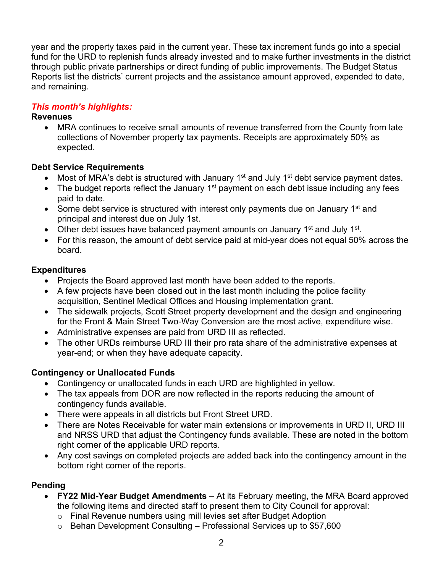year and the property taxes paid in the current year. These tax increment funds go into a special fund for the URD to replenish funds already invested and to make further investments in the district through public private partnerships or direct funding of public improvements. The Budget Status Reports list the districts' current projects and the assistance amount approved, expended to date, and remaining.

## *This month's highlights:*

## **Revenues**

• MRA continues to receive small amounts of revenue transferred from the County from late collections of November property tax payments. Receipts are approximately 50% as expected.

## **Debt Service Requirements**

- Most of MRA's debt is structured with January  $1<sup>st</sup>$  and July  $1<sup>st</sup>$  debt service payment dates.
- The budget reports reflect the January  $1<sup>st</sup>$  payment on each debt issue including any fees paid to date.
- Some debt service is structured with interest only payments due on January  $1<sup>st</sup>$  and principal and interest due on July 1st.
- Other debt issues have balanced payment amounts on January  $1^{st}$  and July  $1^{st}$ .
- For this reason, the amount of debt service paid at mid-year does not equal 50% across the board.

## **Expenditures**

- Projects the Board approved last month have been added to the reports.
- A few projects have been closed out in the last month including the police facility acquisition, Sentinel Medical Offices and Housing implementation grant.
- The sidewalk projects, Scott Street property development and the design and engineering for the Front & Main Street Two-Way Conversion are the most active, expenditure wise.
- Administrative expenses are paid from URD III as reflected.
- The other URDs reimburse URD III their pro rata share of the administrative expenses at year-end; or when they have adequate capacity.

## **Contingency or Unallocated Funds**

- Contingency or unallocated funds in each URD are highlighted in yellow.
- The tax appeals from DOR are now reflected in the reports reducing the amount of contingency funds available.
- There were appeals in all districts but Front Street URD.<br>• There are Notes Receivable for water main extensions o
- There are Notes Receivable for water main extensions or improvements in URD II, URD III and NRSS URD that adjust the Contingency funds available. These are noted in the bottom right corner of the applicable URD reports.
- Any cost savings on completed projects are added back into the contingency amount in the bottom right corner of the reports.

## **Pending**

- **FY22 Mid-Year Budget Amendments** At its February meeting, the MRA Board approved the following items and directed staff to present them to City Council for approval:
	- o Final Revenue numbers using mill levies set after Budget Adoption
	- $\circ$  Behan Development Consulting Professional Services up to \$57,600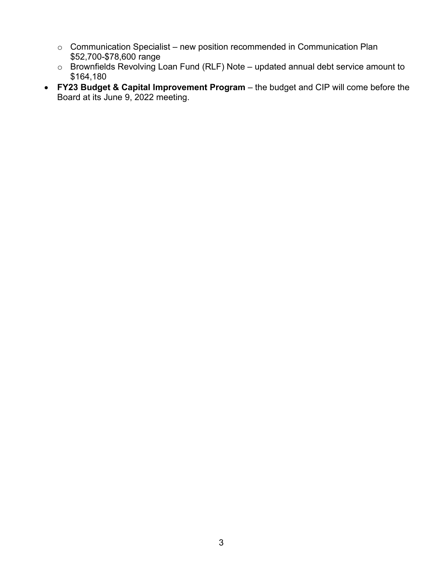- o Communication Specialist new position recommended in Communication Plan \$52,700-\$78,600 range
- o Brownfields Revolving Loan Fund (RLF) Note updated annual debt service amount to \$164,180
- **FY23 Budget & Capital Improvement Program** the budget and CIP will come before the Board at its June 9, 2022 meeting.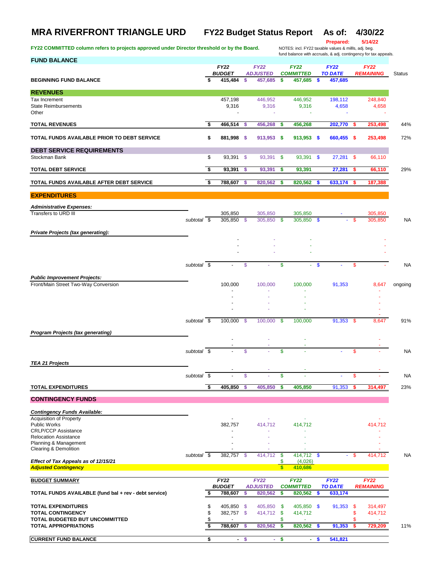## **MRA RIVERFRONT TRIANGLE URD FY22 Budget Status Report As of: 4/30/22**

FY22 COMMITTED column refers to projects approved under Director threshold or by the Board.

**Prepared: 5/14/22**

for the case of the case of the DITES: incl. FY22 taxable values & mills, adj. beg.<br>fund balance with accruals, & adj. contingency for tax appeals.

| <b>FUND BALANCE</b>                                                         |                          |                               |                              |               |                                |               |                                 |    |                               |           | iund balance with accruais, & adj. contingency for tax appeals. |               |
|-----------------------------------------------------------------------------|--------------------------|-------------------------------|------------------------------|---------------|--------------------------------|---------------|---------------------------------|----|-------------------------------|-----------|-----------------------------------------------------------------|---------------|
|                                                                             |                          |                               | <b>FY22</b><br><b>BUDGET</b> |               | <b>FY22</b><br><b>ADJUSTED</b> |               | <b>FY22</b><br><b>COMMITTED</b> |    | <b>FY22</b><br><b>TO DATE</b> |           | <b>FY22</b><br><b>REMAINING</b>                                 | <b>Status</b> |
| <b>BEGINNING FUND BALANCE</b>                                               |                          |                               | 415,484                      | \$            | 457,685                        | \$            | 457,685                         | \$ | 457,685                       |           |                                                                 |               |
| <b>REVENUES</b>                                                             |                          |                               |                              |               |                                |               |                                 |    |                               |           |                                                                 |               |
| Tax Increment<br><b>State Reimbursements</b><br>Other                       |                          |                               | 457,198<br>9,316             |               | 446,952<br>9,316               |               | 446,952<br>9,316                |    | 198,112<br>4,658              |           | 248,840<br>4,658                                                |               |
| <b>TOTAL REVENUES</b>                                                       |                          | \$                            | 466,514                      | -S            | 456,268                        | \$            | 456,268                         |    | 202,770                       | -5        | 253,498                                                         | 44%           |
| TOTAL FUNDS AVAILABLE PRIOR TO DEBT SERVICE                                 |                          | \$                            | 881,998 \$                   |               | 913,953 \$                     |               | 913,953 \$                      |    | 660,455 \$                    |           | 253,498                                                         | 72%           |
| <b>DEBT SERVICE REQUIREMENTS</b>                                            |                          |                               |                              |               |                                |               |                                 |    |                               |           |                                                                 |               |
| Stockman Bank                                                               |                          | \$                            | 93,391 \$                    |               | 93,391                         | \$            | 93,391 \$                       |    | $27,281$ \$                   |           | 66,110                                                          |               |
| <b>TOTAL DEBT SERVICE</b>                                                   |                          | \$                            | 93,391                       | \$            | 93,391                         | \$            | 93,391                          |    | 27,281                        | s         | 66,110                                                          | 29%           |
| TOTAL FUNDS AVAILABLE AFTER DEBT SERVICE                                    |                          | \$                            | 788,607                      | \$            | 820,562                        | \$            | 820,562                         | S  | 633,174                       |           | 187,388                                                         |               |
| <b>EXPENDITURES</b>                                                         |                          |                               |                              |               |                                |               |                                 |    |                               |           |                                                                 |               |
| <b>Administrative Expenses:</b>                                             |                          |                               |                              |               |                                |               |                                 |    |                               |           |                                                                 |               |
| Transfers to URD III                                                        | subtotal $\overline{\$}$ |                               | 305,850<br>305,850           | \$            | 305,850<br>305,850             | \$            | 305,850<br>305,850              | \$ |                               | \$.       | 305.850<br>305,850                                              | <b>NA</b>     |
| Private Projects (tax generating):                                          |                          |                               |                              |               |                                |               |                                 |    |                               |           |                                                                 |               |
|                                                                             |                          |                               |                              |               |                                |               |                                 |    |                               |           |                                                                 |               |
|                                                                             |                          |                               |                              |               |                                |               |                                 |    |                               |           |                                                                 |               |
|                                                                             | subtotal \$              |                               |                              | \$            |                                | \$            | ÷.                              | \$ |                               | \$        |                                                                 | <b>NA</b>     |
|                                                                             |                          |                               |                              |               |                                |               |                                 |    |                               |           |                                                                 |               |
| <b>Public Improvement Projects:</b><br>Front/Main Street Two-Way Conversion |                          |                               | 100,000                      |               | 100,000                        |               | 100,000                         |    | 91,353                        |           | 8,647                                                           | ongoing       |
|                                                                             |                          |                               |                              |               |                                |               |                                 |    |                               |           |                                                                 |               |
|                                                                             |                          |                               |                              |               |                                |               |                                 |    |                               |           |                                                                 |               |
|                                                                             |                          |                               |                              |               |                                |               |                                 |    |                               |           |                                                                 |               |
|                                                                             | subtotal \$              |                               | 100,000                      | $\mathcal{S}$ | 100,000                        | $\mathbf{\$}$ | 100,000                         |    | 91,353 \$                     |           | 8,647                                                           | 91%           |
| <b>Program Projects (tax generating)</b>                                    |                          |                               |                              |               |                                |               |                                 |    |                               |           |                                                                 |               |
|                                                                             |                          |                               |                              |               |                                |               |                                 |    |                               |           |                                                                 |               |
|                                                                             | subtotal $\overline{\$}$ |                               |                              | \$            |                                | \$            |                                 |    |                               | \$        |                                                                 | <b>NA</b>     |
| <b>TEA 21 Projects</b>                                                      |                          |                               |                              |               |                                |               |                                 |    |                               |           |                                                                 |               |
|                                                                             | subtotal \$              |                               |                              | \$            |                                | \$            |                                 |    | ÷                             | \$        |                                                                 | NA            |
| <b>TOTAL EXPENDITURES</b>                                                   |                          | -\$                           | 405,850                      | s             | 405,850                        | s             | 405,850                         |    | 91,353                        |           | 314,497                                                         | 23%           |
| <b>CONTINGENCY FUNDS</b>                                                    |                          |                               |                              |               |                                |               |                                 |    |                               |           |                                                                 |               |
|                                                                             |                          |                               |                              |               |                                |               |                                 |    |                               |           |                                                                 |               |
| <b>Contingency Funds Available:</b><br>Acquisition of Property              |                          |                               |                              |               |                                |               |                                 |    |                               |           |                                                                 |               |
| Public Works<br><b>CRLP/CCP Assistance</b>                                  |                          |                               | 382,757                      |               | 414,712                        |               | 414,712                         |    |                               |           | 414,712                                                         |               |
| <b>Relocation Assistance</b>                                                |                          |                               |                              |               |                                |               |                                 |    |                               |           |                                                                 |               |
| Planning & Management<br>Clearing & Demolition                              |                          |                               |                              |               |                                |               |                                 |    |                               |           |                                                                 |               |
| Effect of Tax Appeals as of 12/15/21                                        | subtotal \$              |                               | 382,757 \$                   |               | 414,712                        | \$<br>\$      | 414,712 \$<br>(4,026)           |    |                               | $-$ \$    | 414,712                                                         | NA            |
| <b>Adjusted Contingency</b>                                                 |                          |                               |                              |               |                                | $\mathbf{s}$  | 410,686                         |    |                               |           |                                                                 |               |
| <b>BUDGET SUMMARY</b>                                                       |                          |                               | <b>FY22</b>                  |               | <b>FY22</b>                    |               | <b>FY22</b>                     |    | <b>FY22</b>                   |           | <b>FY22</b>                                                     |               |
| TOTAL FUNDS AVAILABLE (fund bal + rev - debt service)                       |                          | \$                            | <b>BUDGET</b><br>788,607     | \$            | <b>ADJUSTED</b><br>820,562     | \$            | <b>COMMITTED</b><br>820,562     | \$ | <b>TO DATE</b><br>633,174     |           | <b>REMAINING</b>                                                |               |
|                                                                             |                          |                               |                              |               |                                |               |                                 |    |                               |           |                                                                 |               |
| <b>TOTAL EXPENDITURES</b><br><b>TOTAL CONTINGENCY</b>                       |                          | \$<br>\$                      | 405,850<br>382,757 \$        | $\mathcal{S}$ | 405,850<br>414,712             | \$<br>-S      | 405,850 \$<br>414,712           |    | 91,353                        | -\$<br>\$ | 314,497<br>414,712                                              |               |
| TOTAL BUDGETED BUT UNCOMMITTED<br><b>TOTAL APPROPRIATIONS</b>               |                          | \$<br>$\overline{\mathbf{s}}$ | 788,607 \$                   |               | 820,562                        | \$<br>\$      | 820,562 \$                      |    | 91,353                        | S<br>-\$  | 729,209                                                         | 11%           |
|                                                                             |                          |                               |                              |               |                                |               |                                 |    |                               |           |                                                                 |               |

**CURRENT FUND BALANCE \$ - \$ - \$ - \$ 541,821**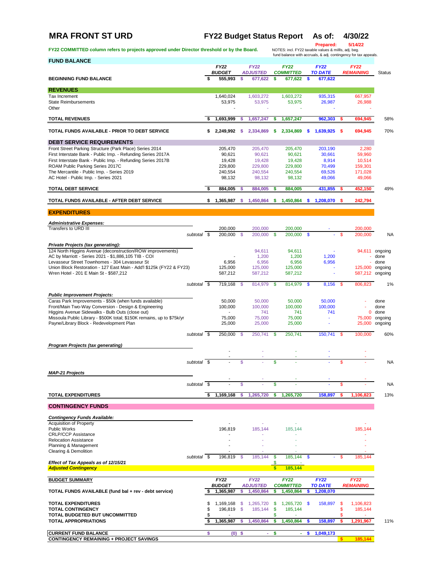# **MRA FRONT ST URD FY22 Budget Status Report As of: 4/30/22**

| FY22 COMMITTED column refers to projects approved under Director threshold or by the Board.                                  |                          |          |                            |                      |                              |                  | NOTES: incl. FY22 taxable values & millls, adj. beg.    |              | <b>Prepared:</b>            |          | 5/14/22<br>fund balance with accruals, & adj. contingency for tax appeals. |                |
|------------------------------------------------------------------------------------------------------------------------------|--------------------------|----------|----------------------------|----------------------|------------------------------|------------------|---------------------------------------------------------|--------------|-----------------------------|----------|----------------------------------------------------------------------------|----------------|
| <b>FUND BALANCE</b>                                                                                                          |                          |          | <b>FY22</b>                |                      | <b>FY22</b>                  |                  | <b>FY22</b>                                             |              | <b>FY22</b>                 |          | <b>FY22</b>                                                                |                |
| <b>BEGINNING FUND BALANCE</b>                                                                                                |                          |          | <b>BUDGET</b><br>555,993   | S.                   | <b>ADJUSTED</b><br>677,622   | s                | <b>COMMITTED</b><br>677.622                             | S.           | <b>TO DATE</b><br>677,622   |          | <b>REMAINING</b>                                                           | <b>Status</b>  |
| <b>REVENUES</b>                                                                                                              |                          |          |                            |                      |                              |                  |                                                         |              |                             |          |                                                                            |                |
| Tax Increment                                                                                                                |                          |          | 1,640,024                  |                      | 1,603,272                    |                  | 1,603,272                                               |              | 935,315                     |          | 667,957                                                                    |                |
| <b>State Reimbursements</b><br>Other                                                                                         |                          |          | 53,975                     |                      | 53,975                       |                  | 53,975                                                  |              | 26,987                      |          | 26,988                                                                     |                |
| <b>TOTAL REVENUES</b>                                                                                                        |                          | \$       | 1,693,999                  | s                    | 1.657.247                    | \$               | 1,657,247                                               |              | 962.303                     | s        | 694.945                                                                    | 58%            |
| TOTAL FUNDS AVAILABLE - PRIOR TO DEBT SERVICE                                                                                |                          | \$       | 2,249,992                  | -S                   | 2,334,869                    | s                | 2,334,869                                               | \$           | 1,639,925                   | - \$     | 694,945                                                                    | 70%            |
| <b>DEBT SERVICE REQUIREMENTS</b>                                                                                             |                          |          |                            |                      |                              |                  |                                                         |              |                             |          |                                                                            |                |
| Front Street Parking Structure (Park Place) Series 2014                                                                      |                          |          | 205,470                    |                      | 205,470                      |                  | 205,470                                                 |              | 203,190                     |          | 2,280                                                                      |                |
| First Interstate Bank - Public Imp. - Refunding Series 2017A<br>First Interstate Bank - Public Imp. - Refunding Series 2017B |                          |          | 90,621<br>19,428           |                      | 90,621<br>19,428             |                  | 90,621<br>19,428                                        |              | 30,661<br>8,914             |          | 59,960<br>10,514                                                           |                |
| ROAM Public Parking Series 2017C                                                                                             |                          |          | 229,800                    |                      | 229,800                      |                  | 229,800                                                 |              | 70,499                      |          | 159,301                                                                    |                |
| The Mercantile - Public Imp. - Series 2019                                                                                   |                          |          | 240,554                    |                      | 240,554                      |                  | 240,554                                                 |              | 69,526                      |          | 171,028                                                                    |                |
| AC Hotel - Public Imp. - Series 2021                                                                                         |                          |          | 98,132                     |                      | 98,132                       |                  | 98,132                                                  |              | 49,066                      |          | 49,066                                                                     |                |
| <b>TOTAL DEBT SERVICE</b>                                                                                                    |                          | \$       | 884,005                    | S.                   | 884.005                      | s                | 884,005                                                 |              | 431,855                     | s        | 452.150                                                                    | 49%            |
| TOTAL FUNDS AVAILABLE - AFTER DEBT SERVICE                                                                                   |                          |          |                            |                      |                              |                  | $$1,365,987$ $$1,450,864$ $$1,450,864$ $$1,208,070$ $$$ |              |                             |          | 242,794                                                                    |                |
| <b>EXPENDITURES</b>                                                                                                          |                          |          |                            |                      |                              |                  |                                                         |              |                             |          |                                                                            |                |
| <b>Administrative Expenses:</b>                                                                                              |                          |          |                            |                      |                              |                  |                                                         |              |                             |          |                                                                            |                |
| Transfers to URD III                                                                                                         |                          |          | 200,000                    |                      | 200,000                      |                  | 200,000                                                 |              |                             |          | 200,000                                                                    |                |
|                                                                                                                              | subtotal $\overline{\$}$ |          | 200,000                    | $\mathbf{\$}$        | 200.000                      | <b>S</b>         | 200.000                                                 | $\mathbf{s}$ |                             | <b>S</b> | 200.000                                                                    | <b>NA</b>      |
| Private Projects (tax generating):                                                                                           |                          |          |                            |                      |                              |                  |                                                         |              |                             |          |                                                                            |                |
| 124 North Higgins Avenue (deconstruction/ROW improvements)                                                                   |                          |          |                            |                      | 94,611                       |                  | 94,611                                                  |              |                             |          |                                                                            | 94,611 ongoing |
| AC by Marriott - Series 2021 - \$1,886,105 TIB - COI                                                                         |                          |          |                            |                      | 1,200                        |                  | 1,200                                                   |              | 1,200                       |          |                                                                            | done           |
| Levasseur Street Townhomes - 304 Levasseur St<br>Union Block Restoration - 127 East Main - Add'l \$125k (FY22 & FY23)        |                          |          | 6,956<br>125,000           |                      | 6,956<br>125,000             |                  | 6,956<br>125,000                                        |              | 6,956                       |          | 125,000 ongoing                                                            | done           |
| Wren Hotel - 201 E Main St - \$587,212                                                                                       |                          |          | 587,212                    |                      | 587,212                      |                  | 587,212                                                 |              | ÷,                          |          | 587,212 ongoing                                                            |                |
|                                                                                                                              | subtotal \$              |          | 719,168 \$                 |                      | 814,979                      | -S               | 814,979                                                 | <b>S</b>     | 8,156 \$                    |          | 806,823                                                                    | 1%             |
|                                                                                                                              |                          |          |                            |                      |                              |                  |                                                         |              |                             |          |                                                                            |                |
| <b>Public Improvement Projects:</b><br>Caras Park Improvements - \$50k (when funds available)                                |                          |          | 50,000                     |                      | 50,000                       |                  | 50,000                                                  |              | 50,000                      |          |                                                                            | done           |
| Front/Main Two-Way Conversion - Design & Engineering                                                                         |                          |          | 100,000                    |                      | 100,000                      |                  | 100,000                                                 |              | 100,000                     |          |                                                                            | done           |
| Higgins Avenue Sidewalks - Bulb Outs (close out)                                                                             |                          |          | $\overline{\phantom{a}}$   |                      | 741                          |                  | 741                                                     |              | 741                         |          | 0                                                                          | done           |
| Missoula Public Library - \$500K total; \$150K remains, up to \$75k/yr                                                       |                          |          | 75,000                     |                      | 75,000                       |                  | 75,000                                                  |              |                             |          | 75,000                                                                     | ongoing        |
| Payne/Library Block - Redevelopment Plan                                                                                     |                          |          | 25,000                     |                      | 25,000                       |                  | 25,000                                                  |              | ä,                          |          |                                                                            | 25,000 ongoing |
|                                                                                                                              | subtotal \$              |          | 250,000                    | \$                   | 250,741                      | <b>S</b>         | 250,741                                                 |              | 150,741                     | -S       | 100,000                                                                    | 60%            |
| <b>Program Projects (tax generating)</b>                                                                                     |                          |          |                            |                      |                              |                  |                                                         |              |                             |          |                                                                            |                |
|                                                                                                                              |                          |          |                            |                      |                              |                  |                                                         |              |                             |          |                                                                            |                |
|                                                                                                                              | subtotal $\overline{\$}$ |          |                            | \$                   | ä,                           | \$               |                                                         |              |                             | \$       |                                                                            | <b>NA</b>      |
|                                                                                                                              |                          |          |                            |                      |                              |                  |                                                         |              |                             |          |                                                                            |                |
| <b>MAP-21 Projects</b>                                                                                                       |                          |          |                            |                      |                              |                  |                                                         |              |                             |          |                                                                            |                |
|                                                                                                                              | subtotal \$              |          |                            | \$                   |                              | \$               |                                                         |              |                             | \$       |                                                                            | <b>NA</b>      |
| <b>TOTAL EXPENDITURES</b>                                                                                                    |                          | \$       | 1,169,168                  | s                    | 1,265,720                    | s                | 1,265,720                                               |              | 158,897                     | s        | 1,106,823                                                                  | 13%            |
| <b>CONTINGENCY FUNDS</b>                                                                                                     |                          |          |                            |                      |                              |                  |                                                         |              |                             |          |                                                                            |                |
| <b>Contingency Funds Available:</b>                                                                                          |                          |          |                            |                      |                              |                  |                                                         |              |                             |          |                                                                            |                |
| <b>Acquisition of Property</b>                                                                                               |                          |          |                            |                      |                              |                  |                                                         |              |                             |          |                                                                            |                |
| Public Works                                                                                                                 |                          |          | 196,819                    |                      | 185,144                      |                  | 185,144                                                 |              |                             |          | 185,144                                                                    |                |
| <b>CRLP/CCP Assistance</b><br><b>Relocation Assistance</b>                                                                   |                          |          |                            |                      |                              |                  |                                                         |              |                             |          |                                                                            |                |
| Planning & Management                                                                                                        |                          |          |                            |                      |                              |                  |                                                         |              |                             |          |                                                                            |                |
| Clearing & Demolition                                                                                                        |                          |          |                            |                      |                              |                  |                                                         |              |                             |          |                                                                            |                |
|                                                                                                                              | subtotal \$              |          | 196,819 \$                 |                      | 185,144                      | \$               | 185,144                                                 | - \$         |                             | \$       | 185,144                                                                    |                |
| Effect of Tax Appeals as of 12/15/21<br><b>Adjusted Contingency</b>                                                          |                          |          |                            |                      |                              | $\boldsymbol{s}$ | 185,144                                                 |              |                             |          |                                                                            |                |
| <b>BUDGET SUMMARY</b>                                                                                                        |                          |          | <b>FY22</b>                |                      | <b>FY22</b>                  |                  | <b>FY22</b>                                             |              | <b>FY22</b>                 |          | <b>FY22</b>                                                                |                |
| TOTAL FUNDS AVAILABLE (fund bal + rev - debt service)                                                                        |                          | s        | <b>BUDGET</b><br>1,365,987 | \$                   | <b>ADJUSTED</b><br>1,450,864 | \$               | <b>COMMITTED</b><br>1,450,864                           | S            | <b>TO DATE</b><br>1,208,070 |          | <b>REMAINING</b>                                                           |                |
|                                                                                                                              |                          |          |                            |                      |                              |                  |                                                         |              |                             |          |                                                                            |                |
| <b>TOTAL EXPENDITURES</b><br><b>TOTAL CONTINGENCY</b>                                                                        |                          | \$<br>\$ | 1,169,168<br>196,819       | \$<br>$\mathfrak{s}$ | 1,265,720<br>185,144         | \$<br>\$         | 1,265,720<br>185,144                                    | - \$         | 158,897                     | \$<br>\$ | 1,106,823<br>185,144                                                       |                |
| TOTAL BUDGETED BUT UNCOMMITTED                                                                                               |                          | \$       |                            |                      |                              | \$               |                                                         |              |                             | \$       |                                                                            |                |
| <b>TOTAL APPROPRIATIONS</b>                                                                                                  |                          | \$       | 1,365,987                  | s                    | 1,450,864                    | s                | 1,450,864                                               | \$           | 158,897                     | s        | 1,291,967                                                                  | 11%            |
|                                                                                                                              |                          |          |                            |                      |                              |                  |                                                         |              |                             |          |                                                                            |                |

**CURRENT FUND BALANCE \$ (0) \$ - \$ - \$ 1,049,173**

**CONTINGENCY REMAINING + PROJECT SAVINGS \$ 185,144**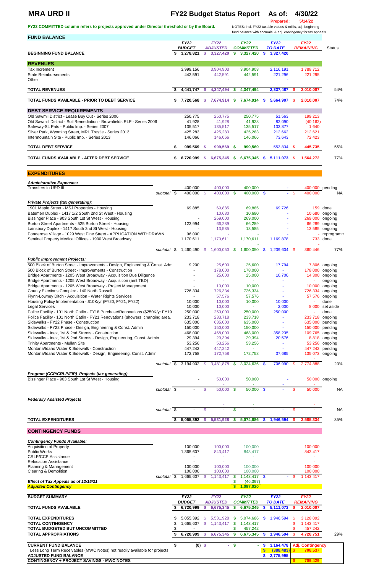## **MRA URD II FY22 Budget Status Report As of: 4/30/22**

**Prepared: 5/14/22**

**FY22 COMMITTED column refers to projects approved under Director threshold or by the Board.** NOTES: incl. FY22 taxable values & millls, adj. beginning

## fund balance with accruals, & adj. contingency for tax appeals.

| <b>FUND BALANCE</b>                                                            |    |               |      |                 |          |                  |              |                |        |                  |                |
|--------------------------------------------------------------------------------|----|---------------|------|-----------------|----------|------------------|--------------|----------------|--------|------------------|----------------|
|                                                                                |    | <b>FY22</b>   |      | <b>FY22</b>     |          | <b>FY22</b>      |              | <b>FY22</b>    |        | <b>FY22</b>      |                |
|                                                                                |    | <b>BUDGET</b> |      | <b>ADJUSTED</b> |          | <b>COMMITTED</b> |              | <b>TO DATE</b> |        | <b>REMAINING</b> | <b>Status</b>  |
| <b>BEGINNING FUND BALANCE</b>                                                  | S. | 3,278,821     | \$   | 3,327,420       | \$       | 3,327,420        | $\mathbf{s}$ | 3,327,420      |        |                  |                |
| <b>REVENUES</b>                                                                |    |               |      |                 |          |                  |              |                |        |                  |                |
| Tax Increment                                                                  |    | 3,999,156     |      | 3,904,903       |          | 3,904,903        |              | 2,116,191      |        | 1,788,712        |                |
| <b>State Reimbursements</b>                                                    |    | 442,591       |      | 442,591         |          | 442,591          |              | 221,296        |        | 221,295          |                |
| Other                                                                          |    |               |      |                 |          |                  |              |                |        |                  |                |
|                                                                                |    |               |      |                 |          |                  |              |                |        |                  |                |
| <b>TOTAL REVENUES</b>                                                          | S. | 4,441,747     | -S   | 4,347,494       | S        | 4,347,494        |              | 2,337,487      |        | 2,010,007        | 54%            |
|                                                                                |    |               |      |                 |          |                  |              |                |        |                  |                |
| TOTAL FUNDS AVAILABLE - PRIOR TO DEBT SERVICE                                  | \$ | 7,720,568     | -S   | 7,674,914       | S.       | 7,674,914 \$     |              | 5,664,907      | -S     | 2,010,007        | 74%            |
| <b>DEBT SERVICE REQUIREMENTS</b>                                               |    |               |      |                 |          |                  |              |                |        |                  |                |
| Old Sawmll District - Lease Buy Out - Series 2006                              |    | 250,775       |      | 250,775         |          | 250,775          |              | 51,563         |        | 199,213          |                |
| Old Sawmill District - Soil Remediation - Brownfields RLF - Series 2006        |    | 41,928        |      | 41,928          |          | 41,928           |              | 82,090         |        | (40, 162)        |                |
| Safeway-St. Pats - Public Imp. - Series 2007                                   |    | 135,517       |      | 135,517         |          | 135,517          |              | 133,877        |        | 1,640            |                |
| Silver Park, Wyoming Street, MRL Trestle - Series 2013                         |    | 425,283       |      | 425,283         |          | 425,283          |              | 212,662        |        | 212,621          |                |
| Intermountain Site - Public Imp. - Series 2013                                 |    | 146,066       |      | 146,066         |          | 146,066          |              | 73,643         |        | 72,423           |                |
|                                                                                |    |               |      |                 |          |                  |              |                |        |                  |                |
| <b>TOTAL DEBT SERVICE</b>                                                      | \$ | 999,569       | -S   | 999,569         | S.       | 999,569          |              | 553,834        | s.     | 445,735          | 55%            |
| TOTAL FUNDS AVAILABLE - AFTER DEBT SERVICE                                     | \$ | 6,720,999     | \$.  | 6,675,345       |          | $6,675,345$ \$   |              | 5,111,073 \$   |        | 1,564,272        | 77%            |
|                                                                                |    |               |      |                 | S.       |                  |              |                |        |                  |                |
|                                                                                |    |               |      |                 |          |                  |              |                |        |                  |                |
| <b>EXPENDITURES</b>                                                            |    |               |      |                 |          |                  |              |                |        |                  |                |
|                                                                                |    |               |      |                 |          |                  |              |                |        |                  |                |
| <b>Administrative Expenses:</b>                                                |    |               |      |                 |          |                  |              |                |        |                  |                |
| Transfers to URD III                                                           |    | 400,000       |      | 400,000         |          | 400,000          |              |                |        | 400,000 pending  |                |
| subtotal $\overline{\$}$                                                       |    | 400,000 \$    |      | 400,000 \$      |          | 400,000 \$       |              |                | $-$ \$ | 400,000          | NA.            |
| <b>Private Projects (tax generating):</b>                                      |    |               |      |                 |          |                  |              |                |        |                  |                |
| 1901 Maple Street - MSJ Properties - Housing                                   |    | 69,885        |      | 69,885          |          | 69,885           |              | 69,726         |        |                  | 159 done       |
| Batemen Duplex - 1417 1/2 South 2nd St West - Housing                          |    |               |      | 10,680          |          | 10,680           |              |                |        |                  | 10,680 ongoing |
| Bissinger Place - 903 South 1st St West - Housing                              |    |               |      | 269,000         |          | 269,000          |              |                |        | 269,000 ongoing  |                |
| Burton Street Apartments - 525 Burton Street - Housing                         |    | 123,994       |      | 66,289          |          | 66,289           |              |                |        |                  | 66,289 ongoing |
| Lainsbury Duplex - 1417 South 2nd St West - Housing                            |    |               |      | 13,585          |          | 13,585           |              |                |        |                  | 13,585 ongoing |
| Ponderosa Village - 1029 West Pine Street - APPLICATION WITHDRAWN              |    | 96,000        |      |                 |          |                  |              |                |        |                  | reprogramm     |
| Sentinel Property Medical Offices - 1900 West Broadway                         |    | 1,170,611     |      | 1,170,611       |          | 1,170,611        |              | 1,169,878      |        |                  | 733 done       |
|                                                                                |    |               |      |                 |          |                  |              |                |        |                  |                |
| subtotal                                                                       | \$ | 1,460,490     | -S   | 1,600,050       | \$       | 1,600,050        | \$           | 1,239,604      | S.     | 360,446          | 77%            |
| <b>Public Improvement Projects:</b>                                            |    |               |      |                 |          |                  |              |                |        |                  |                |
| 500 Block of Burton Street - Improvements - Design, Engineering & Const. Adm   |    | 9,200         |      | 25,600          |          | 25,600           |              | 17,794         |        |                  | 7,806 ongoing  |
| 500 Block of Burton Street - Improvements - Construction                       |    |               |      | 178,000         |          | 178,000          |              | ÷.             |        | 178,000          | ongoing        |
| Bridge Apartments - 1205 West Broadway - Acquisition Due Diligence             |    |               |      | 25,000          |          | 25,000           |              | 10,700         |        | 14,300           | ongoing        |
| Bridge Apartments - 1205 West Broadway - Acquisition (amt TBD)                 |    |               |      | $\omega$        |          | ÷.               |              | ÷,             |        |                  | ongoing        |
| Bridge Apartments - 1205 West Broadway - Project Management                    |    |               |      | 10,000          |          | 10,000           |              |                |        |                  | 10,000 ongoing |
| County Elections Complex - 140 North Russell                                   |    | 726,334       |      | 726,334         |          | 726,334          |              |                |        | 726,334          | ongoing        |
| Flynn-Lowney Ditch - Acquisition - Water Rights Services                       |    |               |      | 57,576          |          | 57,576           |              |                |        |                  | 57,576 ongoing |
| Housing Policy Implementation - \$10K/yr (FY20, FY21, FY22)                    |    | 10,000        |      | 10,000          |          | 10,000           |              | 10,000         |        |                  | done           |
| <b>Legal Services</b>                                                          |    | 10,000        |      | 10,000          |          | $\sim$           |              | 2,000          |        | 8,000            | set aside      |
| Police Facility - 101 North Catlin - FY18 Purchase/Renovations (\$250K/yr FY19 |    | 250,000       |      | 250,000         |          | 250,000          |              | 250,000        |        |                  | done           |
| Police Facility - 101 North Catlin - FY21 Renovations (showers, changing area, |    | 233,718       |      | 233,718         |          | 233,718          |              |                |        | 233,718 ongoing  |                |
| Sidewalks - FY22 Phase - Construction                                          |    | 635,000       |      | 635,000         |          | 635,000          |              | ä,             |        | 635,000          | pending        |
| Sidewalks - FY22 Phase - Design, Engineering & Const. Admin                    |    | 150,000       |      | 150,000         |          | 150,000          |              |                |        | 150,000          | pending        |
| Sidewalks - Inez, 1st & 2nd Streets - Construction                             |    | 468,000       |      | 468,000         |          | 468,000          |              | 358,235        |        | 109,765          | ongoing        |
| Sidewalks - Inez, 1st & 2nd Streets - Design, Engineering, Const. Admin        |    | 29,394        |      | 29,394          |          | 29,394           |              | 20,576         |        | 8,818            | ongoing        |
| Trinity Apartments - Mullan Site                                               |    | 53,256        |      | 53,256          |          | 53,256           |              |                |        | 53,256           | ongoing        |
| Montana/Idaho Water & Sidewalk - Construction                                  |    | 447,242       |      | 447,242         |          | $\sim$           |              | ٠              |        | 447,242 pending  |                |
| Montana/Idaho Water & Sidewalk - Design, Engineering, Const. Admin             |    | 172,758       |      | 172,758         |          | 172,758          |              | 37,685         |        | 135,073 ongoing  |                |
| subtotal \$                                                                    |    | 3,194,902     | - \$ | 3,481,878       | <b>S</b> | 3,024,636        | - \$         | 706,990        | S      | 2,774,888        | 20%            |
|                                                                                |    |               |      |                 |          |                  |              |                |        |                  |                |
| Program (CCP/CRLP/FIP) Projects (tax generating)                               |    |               |      |                 |          |                  |              |                |        |                  |                |
| Bissinger Place - 903 South 1st St West - Housing                              |    |               |      | 50,000          |          | 50,000           |              |                |        |                  | 50,000 ongoing |
|                                                                                |    |               |      |                 |          |                  |              |                |        |                  |                |
| subtotal $\sqrt{s}$                                                            |    |               | \$   | 50,000          | -\$      | $50,000$ \$      |              |                | \$.    | 50,000           | <b>NA</b>      |
|                                                                                |    |               |      |                 |          |                  |              |                |        |                  |                |
| <b>Federally Assisted Projects</b>                                             |    |               |      |                 |          |                  |              |                |        |                  |                |
| subtotal \$                                                                    |    |               | \$   |                 | \$       |                  |              |                | \$     |                  | <b>NA</b>      |
|                                                                                |    |               |      |                 |          |                  |              |                |        |                  |                |

## **CONTINGENCY FUNDS**

### *Contingency Funds Available:*

| Acquisition of Property              |          | 100.000                  | 100,000                     | 100,000                   |                       |        | 100,000                   |
|--------------------------------------|----------|--------------------------|-----------------------------|---------------------------|-----------------------|--------|---------------------------|
| <b>Public Works</b>                  |          | 1,365,607                | 843,417                     | 843,417                   |                       |        | 843,417                   |
| <b>CRLP/CCP Assistance</b>           |          | ۰                        |                             |                           |                       |        |                           |
| <b>Relocation Assistance</b>         |          | $\overline{\phantom{0}}$ |                             |                           |                       |        |                           |
| Planning & Management                |          | 100.000                  | 100,000                     | 100,000                   |                       |        | 100,000                   |
| Clearing & Demolition                |          | 100.000                  | 100,000                     | 100,000                   |                       |        | 100,000                   |
|                                      | subtotal | .665,607                 | 1,143,417                   | $1.143.417$ \$            |                       | $\sim$ | 1,143,417                 |
| Effect of Tax Appeals as of 12/15/21 |          |                          |                             | (46, 397)                 |                       |        |                           |
| <b>Adjusted Contingency</b>          |          |                          |                             | 1,097,020                 |                       |        |                           |
|                                      |          |                          |                             |                           |                       |        |                           |
| <b>BUDGET SUMMARY</b>                |          | <b>FY22</b><br>------    | <b>FY22</b><br>. . <i>.</i> | <b>FY22</b><br>---------- | <b>FY22</b><br>------ |        | <b>FY22</b><br>---------- |

|                                | <b>BUDGET</b> | <b>ADJUSTED</b> |     | <b>COMMITTED</b> | <b>TO DATE</b> | <b>REMAINING</b> |     |
|--------------------------------|---------------|-----------------|-----|------------------|----------------|------------------|-----|
| <b>TOTAL FUNDS AVAILABLE</b>   | 6.720.999     | 6.675.345       |     | 6.675.345        | 5.111.073      | 2.010.007        |     |
| <b>TOTAL EXPENDITURES</b>      | 5.055.392     | 5.531.928       | 8 S | 5,074,686 \$     | 1.946.594      | 3.128.092        |     |
| <b>TOTAL CONTINGENCY</b>       | .665.607      | 1,143,417       |     | 1.143.417        |                | 1.143.417        |     |
| TOTAL BUDGETED BUT UNCOMMITTED |               |                 |     | 457.242          |                | 457.242          |     |
| <b>TOTAL APPROPRIATIONS</b>    | 6.720.999     | 6.675.345       |     | 6.675.345        | .946.594       | 4.728.751        | 29% |

| <b>CURRENT FUND BALANCE</b>                                               | (0) |  | 3.164.478           | Adi. |
|---------------------------------------------------------------------------|-----|--|---------------------|------|
| Less Long Term Receivables (MWC Notes) not readily available for projects |     |  | 388.                |      |
| <b>ADJUSTED FUND BALANCE</b>                                              |     |  | .77500 <sup>r</sup> |      |
| <b>CONTINGENCY + PROJECT SAVINGS - MWC NOTES</b>                          |     |  |                     |      |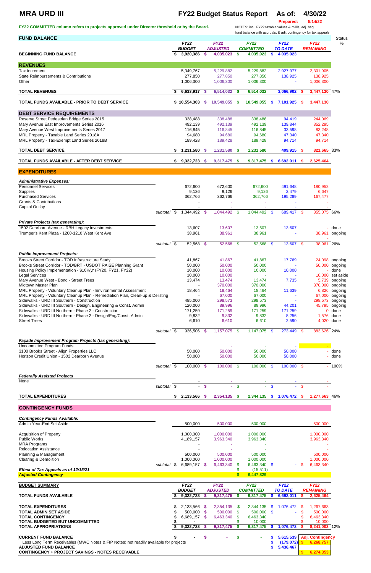# **MRA URD III FY22 Budget Status Report As of: 4/30/22**

FY22 COMMITTED column refers to projects approved under Director threshold or by the Board.

**Prepared:** 5/14/22<br>NOTES: incl. FY22 taxable values & millls, adj. beg.

| <b>FUND BALANCE</b>                                                                      |             |                              |                |                                |              | fund balance with accruals, & adj. contingency for tax appeals. |               |                               |      |                                 | <b>Status</b>    |
|------------------------------------------------------------------------------------------|-------------|------------------------------|----------------|--------------------------------|--------------|-----------------------------------------------------------------|---------------|-------------------------------|------|---------------------------------|------------------|
|                                                                                          |             | <b>FY22</b><br><b>BUDGET</b> |                | <b>FY22</b><br><b>ADJUSTED</b> |              | <b>FY22</b><br><b>COMMITTED</b>                                 |               | <b>FY22</b><br><b>TO DATE</b> |      | <b>FY22</b><br><b>REMAINING</b> | %                |
| <b>BEGINNING FUND BALANCE</b>                                                            |             | \$<br>3,920,386              | -S             | 4,035,023                      | $\mathbf{s}$ | 4,035,023                                                       | $\mathbf{\$}$ | 4,035,023                     |      |                                 |                  |
| <b>REVENUES</b>                                                                          |             |                              |                |                                |              |                                                                 |               |                               |      |                                 |                  |
| <b>Tax Increment</b>                                                                     |             | 5,349,767                    |                | 5,229,882                      |              | 5,229,882                                                       |               | 2,927,977                     |      | 2,301,905                       |                  |
| State Reimbursements & Contributions                                                     |             | 277,850                      |                | 277,850                        |              | 277,850                                                         |               | 138,925                       |      | 138,925                         |                  |
| Other                                                                                    |             | 1,006,300                    |                | 1,006,300                      |              | 1,006,300                                                       |               |                               |      | 1,006,300                       |                  |
| <b>TOTAL REVENUES</b>                                                                    |             | $6,633,917$ \$               |                | 6,514,032                      | - \$         | 6,514,032                                                       |               | 3,066,902                     | - 5  | 3,447,130 47%                   |                  |
| TOTAL FUNDS AVAILABLE - PRIOR TO DEBT SERVICE                                            |             | \$10,554,303                 | S              | 10,549,055                     | - \$         | 10,549,055                                                      | $\mathbf{\$}$ | 7,101,925                     | - \$ | 3,447,130                       |                  |
| <b>DEBT SERVICE REQUIREMENTS</b>                                                         |             |                              |                |                                |              |                                                                 |               |                               |      |                                 |                  |
| Reserve Street Pedestrian Bridge Series 2015                                             |             | 338,488                      |                | 338,488                        |              | 338,488                                                         |               | 94,419                        |      | 244,069                         |                  |
| Mary Avenue East Improvements Series 2016                                                |             | 492,139                      |                | 492,139                        |              | 492,139                                                         |               | 139,844                       |      | 352,295                         |                  |
| Mary Avenue West Improvements Series 2017<br>MRL Property - Taxable Land Series 2018A    |             | 116,845<br>94,680            |                | 116,845<br>94,680              |              | 116,845<br>94,680                                               |               | 33,598<br>47,340              |      | 83,248<br>47,340                |                  |
| MRL Property - Tax-Exempt Land Series 2018B                                              |             | 189,428                      |                | 189,428                        |              | 189,428                                                         |               | 94,714                        |      | 94,714                          |                  |
| <b>TOTAL DEBT SERVICE</b>                                                                |             | \$<br>1,231,580              | -S             | 1,231,580                      | <b>S</b>     | 1,231,580                                                       |               | 409,915                       | -S   | 821,665 33%                     |                  |
| TOTAL FUNDS AVAILABLE - AFTER DEBT SERVICE                                               |             |                              |                | 9,317,475 \$                   |              |                                                                 | $\mathbf{\$}$ |                               |      |                                 |                  |
|                                                                                          |             | \$9,322,723                  | <b>S</b>       |                                |              | 9,317,475                                                       |               | 6,692,011                     | s.   | 2,625,464                       |                  |
| <b>EXPENDITURES</b>                                                                      |             |                              |                |                                |              |                                                                 |               |                               |      |                                 |                  |
| <b>Administrative Expenses:</b>                                                          |             |                              |                |                                |              |                                                                 |               |                               |      |                                 |                  |
| <b>Personnel Services</b>                                                                |             | 672,600                      |                | 672,600                        |              | 672,600                                                         |               | 491,648                       |      | 180,952                         |                  |
| Supplies<br><b>Purchased Services</b>                                                    |             | 9,126<br>362,766             |                | 9,126<br>362,766               |              | 9,126<br>362,766                                                |               | 2,479<br>195,289              |      | 6,647<br>167,477                |                  |
| <b>Grants &amp; Contributions</b>                                                        |             |                              |                |                                |              |                                                                 |               |                               |      |                                 |                  |
| <b>Capital Outlay</b>                                                                    |             |                              |                |                                |              |                                                                 |               |                               |      |                                 |                  |
|                                                                                          | subtotal \$ | 1,044,492 \$                 |                | 1,044,492 \$                   |              | 1,044,492 \$                                                    |               | 689,417 \$                    |      | 355,075 66%                     |                  |
| <b>Private Projects (tax generating):</b>                                                |             |                              |                |                                |              |                                                                 |               |                               |      |                                 |                  |
| 1502 Dearborn Avenue - RBH Legacy Investments                                            |             | 13,607                       |                | 13,607                         |              | 13,607                                                          |               | 13,607                        |      |                                 | - done           |
| Tremper's Kent Plaza - 1200-1210 West Kent Ave                                           |             | 38,961                       |                | 38,961                         |              | 38,961                                                          |               |                               |      | 38,961                          | ongoing          |
|                                                                                          | subtotal \$ | 52,568 \$                    |                | 52,568 \$                      |              | 52,568 \$                                                       |               | 13,607 \$                     |      | 38,961 26%                      |                  |
| <b>Public Improvement Projects:</b>                                                      |             |                              |                |                                |              |                                                                 |               |                               |      |                                 |                  |
| Brooks Street Corridor - TOD Infrastructure Study                                        |             | 41,867                       |                | 41,867                         |              | 41,867                                                          |               | 17,769                        |      |                                 | 24,098 ongoing   |
| Brooks Street Corridor - TOD/BRT - USDOT RAISE Planning Grant                            |             | 50,000                       |                | 50,000                         |              | 50,000                                                          |               |                               |      |                                 | 50,000 ongoing   |
| Housing Policy Implementation - \$10K/yr (FY20, FY21, FY22)                              |             | 10,000                       |                | 10,000                         |              | 10,000                                                          |               | 10,000                        |      |                                 | done             |
| <b>Legal Services</b>                                                                    |             | 10,000                       |                | 10,000                         |              |                                                                 |               |                               |      |                                 | 10,000 set aside |
| Mary Avenue West - Bond - Street Trees<br>Midtown Master Plan                            |             | 13,474                       |                | 13,474<br>370,000              |              | 13,474<br>370,000                                               |               | 7,735                         |      | 370,000 ongoing                 | 5,739 ongoing    |
| MRL Property - Voluntary Cleanup Plan - Environmental Assessment                         |             | 18,464                       |                | 18,464                         |              | 18,464                                                          |               | 11,639                        |      |                                 | 6,826 ongoing    |
| MRL Property - Voluntary Cleanup Plan - Remediation Plan, Clean-up & Delisting           |             |                              |                | 67,000                         |              | 67,000                                                          |               |                               |      | 67,000                          | ongoing          |
| Sidewalks - URD III Southern - Construction                                              |             | 485,000                      |                | 298,573                        |              | 298,573                                                         |               |                               |      | 298,573 ongoing                 |                  |
| Sidewalks - URD III Southern - Design, Engineering & Const. Admin                        |             | 120,000                      |                | 89,996                         |              | 89,996                                                          |               | 44,201                        |      |                                 | 45,795 ongoing   |
| Sidewalks - URD III Northern - Phase 2 - Construction                                    |             | 171,259                      |                | 171,259                        |              | 171,259                                                         |               | 171,259                       |      |                                 | $0$ done         |
| Sidewalks - URD III Northern - Phase 2 - Design/Eng/Const. Admin                         |             | 9,832                        |                | 9,832                          |              | 9,832                                                           |               | 8,256                         |      | 1,576 done                      |                  |
| <b>Street Trees</b>                                                                      |             | 6,610                        |                | 6,610                          |              | 6,610                                                           |               | 2,590                         |      | 4,020 done                      |                  |
|                                                                                          | subtotal \$ | 936,506                      | -\$            | $1,157,075$ \$                 |              | $1,147,075$ \$                                                  |               | 273,449                       | \$   | 883,626 24%                     |                  |
| Façade Improvement Program Projects (tax generating):                                    |             |                              |                |                                |              |                                                                 |               |                               |      |                                 |                  |
| <b>Uncommitted Program Funds</b>                                                         |             |                              |                |                                |              |                                                                 |               |                               |      |                                 |                  |
| 3100 Brooks Street - Align Properties LLC<br>Horizon Credit Union - 1502 Dearborn Avenue |             | 50,000<br>50,000             |                | 50,000<br>50,000               |              | 50,000<br>50,000                                                |               | 50,000<br>50,000              |      |                                 | done<br>done     |
|                                                                                          | subtotal \$ | $100,000$ \$                 |                | 100,000 \$                     |              | 100,000 \$                                                      |               | 100,000 \$                    |      |                                 | $-100%$          |
|                                                                                          |             |                              |                |                                |              |                                                                 |               |                               |      |                                 |                  |
| <b>Federally Assisted Projects</b><br>None                                               |             |                              |                |                                |              |                                                                 |               |                               |      |                                 |                  |
|                                                                                          | subtotal \$ |                              | $-\frac{1}{9}$ | ÷.                             | $\bullet$    | $\mathcal{L}^{\text{max}}$                                      | -\$           | a.                            | - \$ |                                 |                  |
| <b>TOTAL EXPENDITURES</b>                                                                |             | 2,133,566                    | -\$            | 2,354,135                      | - \$         | 2,344,135                                                       | $\sqrt[6]{3}$ | 1,076,472                     | - \$ | 1,277,663 46%                   |                  |
|                                                                                          |             |                              |                |                                |              |                                                                 |               |                               |      |                                 |                  |

**CONTINGENCY FUNDS**

*Contingency Funds Available:*

| Admin Year-End Set Aside                                                              |             | 500,000        |      | 500,000         |          | 500,000             |          |                         |      | 500,000                 |  |
|---------------------------------------------------------------------------------------|-------------|----------------|------|-----------------|----------|---------------------|----------|-------------------------|------|-------------------------|--|
| <b>Acquisition of Property</b>                                                        |             | 1,000,000      |      | 1,000,000       |          | 1,000,000           |          |                         |      | 1,000,000               |  |
| Public Works                                                                          |             | 4,189,157      |      | 3,963,340       |          | 3,963,340           |          |                         |      | 3,963,340               |  |
| <b>MRA Programs</b>                                                                   |             |                |      |                 |          |                     |          |                         |      |                         |  |
| <b>Relocation Assistance</b>                                                          |             |                |      |                 |          |                     |          |                         |      |                         |  |
| Planning & Management                                                                 |             | 500,000        |      | 500,000         |          | 500,000             |          |                         |      | 500,000                 |  |
| Clearing & Demolition                                                                 |             | 1,000,000      |      | 1,000,000       |          | 1,000,000           |          |                         |      | 1,000,000               |  |
|                                                                                       | subtotal \$ | 6,689,157 \$   |      | 6,463,340       | S.       | 6,463,340           | - \$     |                         | - SS | 6,463,340               |  |
| Effect of Tax Appeals as of 12/15/21                                                  |             |                |      |                 |          | (15, 511)           |          |                         |      |                         |  |
| <b>Adjusted Contingency</b>                                                           |             |                |      |                 |          | 6,447,829           |          |                         |      |                         |  |
|                                                                                       |             |                |      |                 |          |                     |          |                         |      |                         |  |
| <b>BUDGET SUMMARY</b>                                                                 |             | <b>FY22</b>    |      | <b>FY22</b>     |          | <b>FY22</b>         |          | <b>FY22</b>             |      | <b>FY22</b>             |  |
|                                                                                       |             |                |      |                 |          |                     |          |                         |      |                         |  |
|                                                                                       |             | <b>BUDGET</b>  |      | <b>ADJUSTED</b> |          | <b>COMMITTED</b>    |          | <b>TO DATE</b>          |      | <b>REMAINING</b>        |  |
| <b>TOTAL FUNDS AVAILABLE</b>                                                          |             | 9,322,723      |      | 9,317,475       | s.       | 9,317,475           | S.       | 6,692,011               |      | 2,625,464               |  |
| <b>TOTAL EXPENDITURES</b>                                                             |             | 2,133,566      | - \$ |                 | S        |                     | \$.      | 1,076,472               | -S   | 1,267,663               |  |
| <b>TOTAL ADMIN SET ASIDE</b>                                                          |             |                | - \$ | 2,354,135       | <b>S</b> | 2,344,135           | - \$     |                         |      |                         |  |
| <b>TOTAL CONTINGENCY</b>                                                              |             | 500,000        |      | 500,000         |          | 500,000             |          |                         |      | 500,000                 |  |
| <b>TOTAL BUDGETED BUT UNCOMMITTED</b>                                                 |             | 6,689,157      |      | 6,463,340       |          | 6,463,340           |          |                         |      | 6,463,340               |  |
| <b>TOTAL APPROPRIATIONS</b>                                                           |             | 9,322,723      | - 5  | 9,317,475       | S.       | 10,000<br>9,317,475 | <b>S</b> | 1,076,472               |      | 10,000<br>8,241,003 12% |  |
| <b>CURRENT FUND BALANCE</b>                                                           |             | $\blacksquare$ | S.   | $\sim$          | S        | $\sim$              |          | 5,615,539               |      | <b>Adj. Contingency</b> |  |
| Less Long Term Receivables (MWC Notes & FIP Notes) not readily available for projects |             |                |      |                 |          |                     |          |                         |      | 6,268,757               |  |
| <b>ADJUSTED FUND BALANCE</b>                                                          |             |                |      |                 |          |                     |          | (179, 072)<br>5,436,467 |      |                         |  |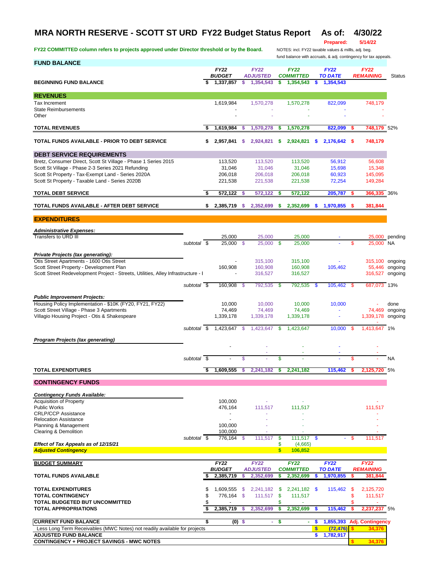## **MRA NORTH RESERVE - SCOTT ST URD FY22 Budget Status Report As of: 4/30/22**

FY22 COMMITTED column refers to projects approved under Director threshold or by the Board. NOTES: incl. FY22 taxable values & millls, adj. beg.

### **Prepared: 5/14/22**

fund balance with accruals, & adj. contingency for tax appeals.

| <b>FUND BALANCE</b>                                                                                                           |     |                              |          |                              |          |                               |          |                             |      | iana balance with accidats, a ag. commigency for tax appeals |                        |
|-------------------------------------------------------------------------------------------------------------------------------|-----|------------------------------|----------|------------------------------|----------|-------------------------------|----------|-----------------------------|------|--------------------------------------------------------------|------------------------|
|                                                                                                                               |     | <b>FY22</b><br><b>BUDGET</b> |          | <b>FY22</b>                  |          | <b>FY22</b>                   |          | <b>FY22</b>                 |      | <b>FY22</b>                                                  |                        |
| <b>BEGINNING FUND BALANCE</b>                                                                                                 | \$  | 1,337,857                    | \$       | <b>ADJUSTED</b><br>1,354,543 | \$       | <b>COMMITTED</b><br>1,354,543 | S        | <b>TO DATE</b><br>1,354,543 |      | <b>REMAINING</b>                                             | <b>Status</b>          |
|                                                                                                                               |     |                              |          |                              |          |                               |          |                             |      |                                                              |                        |
| <b>REVENUES</b><br>Tax Increment                                                                                              |     | 1,619,984                    |          | 1,570,278                    |          | 1,570,278                     |          | 822,099                     |      | 748,179                                                      |                        |
| <b>State Reimbursements</b>                                                                                                   |     |                              |          |                              |          |                               |          |                             |      |                                                              |                        |
| Other                                                                                                                         |     |                              |          |                              |          |                               |          |                             |      |                                                              |                        |
| <b>TOTAL REVENUES</b>                                                                                                         | \$. | 1,619,984                    | s        | 1,570,278                    | \$       | 1,570,278                     |          | 822,099                     | - 5  | <b>748,179</b> 52%                                           |                        |
| TOTAL FUNDS AVAILABLE - PRIOR TO DEBT SERVICE                                                                                 | \$  | 2,957,841                    | s        | 2,924,821                    | \$       | 2,924,821                     | s        | 2,176,642 \$                |      | 748,179                                                      |                        |
| <b>DEBT SERVICE REQUIREMENTS</b>                                                                                              |     |                              |          |                              |          |                               |          |                             |      |                                                              |                        |
| Bretz, Consumer Direct, Scott St Village - Phase 1 Series 2015                                                                |     | 113,520                      |          | 113,520                      |          | 113,520                       |          | 56,912                      |      | 56,608                                                       |                        |
| Scott St Village - Phase 2-3 Series 2021 Refunding<br>Scott St Property - Tax-Exempt Land - Series 2020A                      |     | 31,046<br>206,018            |          | 31,046<br>206,018            |          | 31,046<br>206,018             |          | 15,698<br>60,923            |      | 15,348<br>145,095                                            |                        |
| Scott St Property - Taxable Land - Series 2020B                                                                               |     | 221,538                      |          | 221,538                      |          | 221,538                       |          | 72,254                      |      | 149,284                                                      |                        |
| <b>TOTAL DEBT SERVICE</b>                                                                                                     | \$  | 572,122                      | -\$      | 572,122                      | \$       | 572,122                       |          | 205,787                     | -S   | 366,335 36%                                                  |                        |
|                                                                                                                               |     |                              |          |                              |          |                               |          |                             |      |                                                              |                        |
| TOTAL FUNDS AVAILABLE - AFTER DEBT SERVICE<br><b>EXPENDITURES</b>                                                             | \$  | 2,385,719                    | -S       | 2,352,699 \$                 |          | 2,352,699                     |          | $$1,970,855$ \$             |      | 381,844                                                      |                        |
|                                                                                                                               |     |                              |          |                              |          |                               |          |                             |      |                                                              |                        |
| <b>Administrative Expenses:</b><br>Transfers to URD III                                                                       |     | 25,000                       |          | 25,000                       |          | 25,000                        |          |                             |      |                                                              | 25,000 pending         |
| subtotal \$                                                                                                                   |     | 25,000 \$                    |          | $25,000$ \$                  |          | 25,000                        |          |                             | \$   | 25,000 NA                                                    |                        |
| Private Projects (tax generating):                                                                                            |     |                              |          |                              |          |                               |          |                             |      |                                                              |                        |
| Otis Street Apartments - 1600 Otis Street                                                                                     |     |                              |          | 315,100                      |          | 315,100                       |          |                             |      | 315,100 ongoing                                              |                        |
| Scott Street Property - Development Plan<br>Scott Street Redevelopment Project - Streets, Utilities, Alley Infrastructure - I |     | 160,908                      |          | 160,908<br>316,527           |          | 160,908<br>316,527            |          | 105,462                     |      | 316,527 ongoing                                              | 55,446 ongoing         |
|                                                                                                                               |     |                              |          |                              |          |                               |          |                             |      |                                                              |                        |
| subtotal \$                                                                                                                   |     | 160,908 \$                   |          | 792,535                      | - \$     | 792,535                       | \$       | 105,462                     | \$   | 687,073 13%                                                  |                        |
| <b>Public Improvement Projects:</b>                                                                                           |     |                              |          |                              |          |                               |          |                             |      |                                                              |                        |
| Housing Policy Implementation - \$10K (FY20, FY21, FY22)<br>Scott Street Village - Phase 3 Apartments                         |     | 10,000<br>74,469             |          | 10,000<br>74,469             |          | 10,000<br>74,469              |          | 10,000                      |      |                                                              | done<br>74,469 ongoing |
| Villagio Housing Project - Otis & Shakespeare                                                                                 |     | 1,339,178                    |          | 1,339,178                    |          | 1,339,178                     |          | ×                           |      | 1,339,178 ongoing                                            |                        |
| subtotal \$                                                                                                                   |     | 1,423,647 \$                 |          | 1,423,647                    | - \$     | 1,423,647                     |          | $10,000$ \$                 |      | 1,413,647 1%                                                 |                        |
| <b>Program Projects (tax generating)</b>                                                                                      |     |                              |          |                              |          |                               |          |                             |      |                                                              |                        |
|                                                                                                                               |     |                              |          |                              |          |                               |          |                             |      |                                                              |                        |
| subtotal \$                                                                                                                   |     |                              | \$       |                              | \$       |                               |          |                             | \$   |                                                              | <b>NA</b>              |
|                                                                                                                               |     |                              |          |                              |          |                               |          |                             |      |                                                              |                        |
| <b>TOTAL EXPENDITURES</b>                                                                                                     | \$  | 1,609,555                    | s        | 2,241,182                    | s        | 2,241,182                     |          | 115,462                     |      | 2,125,720 5%                                                 |                        |
| <b>CONTINGENCY FUNDS</b>                                                                                                      |     |                              |          |                              |          |                               |          |                             |      |                                                              |                        |
| <b>Contingency Funds Available:</b>                                                                                           |     |                              |          |                              |          |                               |          |                             |      |                                                              |                        |
| <b>Acquisition of Property</b><br><b>Public Works</b>                                                                         |     | 100,000<br>476,164           |          | 111,517                      |          | 111,517                       |          |                             |      | 111,517                                                      |                        |
| <b>CRLP/CCP Assistance</b>                                                                                                    |     |                              |          |                              |          |                               |          |                             |      |                                                              |                        |
| <b>Relocation Assistance</b>                                                                                                  |     |                              |          |                              |          |                               |          |                             |      |                                                              |                        |
| Planning & Management<br>Clearing & Demolition                                                                                |     | 100,000<br>100,000           |          |                              |          |                               |          |                             |      |                                                              |                        |
| subtotal \$                                                                                                                   |     | 776,164                      | -\$      | 111,517                      | \$       | 111,517                       | <b>S</b> |                             | - \$ | 111,517                                                      |                        |
| Effect of Tax Appeals as of 12/15/21<br><b>Adjusted Contingency</b>                                                           |     |                              |          |                              | \$<br>\$ | (4,665)<br>106,852            |          |                             |      |                                                              |                        |
| <b>BUDGET SUMMARY</b>                                                                                                         |     | <b>FY22</b>                  |          | <b>FY22</b>                  |          | <b>FY22</b>                   |          | <b>FY22</b>                 |      | <b>FY22</b>                                                  |                        |
|                                                                                                                               |     | <b>BUDGET</b>                |          | <b>ADJUSTED</b>              |          | <b>COMMITTED</b>              |          | <b>TO DATE</b>              |      | <b>REMAINING</b>                                             |                        |
| <b>TOTAL FUNDS AVAILABLE</b>                                                                                                  | \$  | 2,385,719                    | \$       | 2,352,699                    | \$       | 2,352,699                     | s        | 1,970,855                   | \$   | 381,844                                                      |                        |
| <b>TOTAL EXPENDITURES</b>                                                                                                     | \$  | 1,609,555                    | -\$      | 2,241,182                    | \$       | 2,241,182 \$                  |          | 115,462                     | \$   | 2,125,720                                                    |                        |
| <b>TOTAL CONTINGENCY</b>                                                                                                      | \$  | 776,164                      | - \$     | 111,517                      | \$       | 111,517                       |          |                             | \$   | 111,517                                                      |                        |
| TOTAL BUDGETED BUT UNCOMMITTED                                                                                                | \$  |                              |          |                              | \$       |                               |          |                             | \$   |                                                              |                        |
| <b>TOTAL APPROPRIATIONS</b>                                                                                                   | \$  | 2,385,719                    | - \$     | 2,352,699                    | \$       | 2,352,699                     | \$       | 115,462                     | \$   | 2,237,237 5%                                                 |                        |
| <b>CURRENT FUND BALANCE</b>                                                                                                   | \$  |                              | $(0)$ \$ | ÷.                           | \$       | $\blacksquare$                | \$       | 1,855,393                   |      | <b>Adj. Contingency</b>                                      |                        |
| Less Long Term Receivables (MWC Notes) not readily available for projects<br><b>ADJUSTED FUND BALANCE</b>                     |     |                              |          |                              |          |                               | \$<br>\$ | (72, 476)<br>1,782,917      |      | 34,376                                                       |                        |
| <b>CONTINGENCY + PROJECT SAVINGS - MWC NOTES</b>                                                                              |     |                              |          |                              |          |                               |          |                             | \$   | 34,376                                                       |                        |